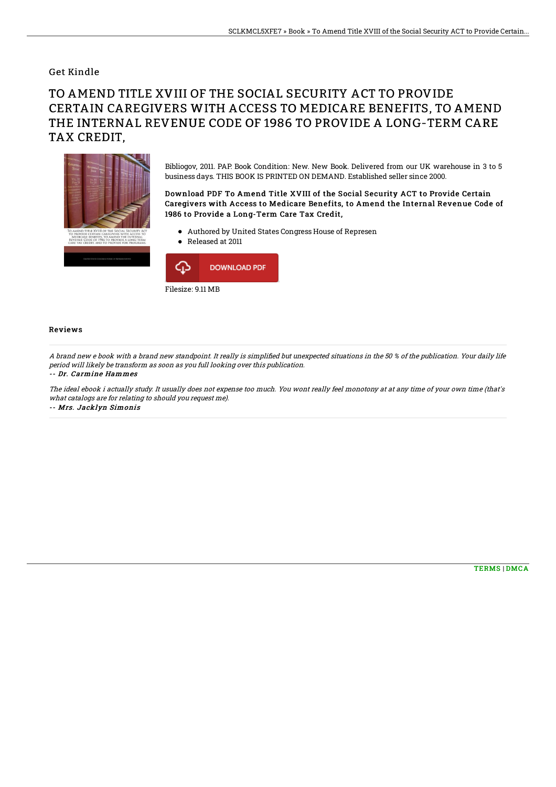## Get Kindle

# TO AMEND TITLE XVIII OF THE SOCIAL SECURITY ACT TO PROVIDE CERTAIN CAREGIVERS WITH ACCESS TO MEDICARE BENEFITS, TO AMEND THE INTERNAL REVENUE CODE OF 1986 TO PROVIDE A LONG-TERM CARE TAX CREDIT,



Bibliogov, 2011. PAP. Book Condition: New. New Book. Delivered from our UK warehouse in 3 to 5 business days. THIS BOOK IS PRINTED ON DEMAND. Established seller since 2000.

### Download PDF To Amend Title XVIII of the Social Security ACT to Provide Certain Caregivers with Access to Medicare Benefits, to Amend the Internal Revenue Code of 1986 to Provide a Long-Term Care Tax Credit,

- Authored by United States Congress House of Represen
- Released at 2011



#### Reviews

A brand new e book with a brand new standpoint. It really is simplified but unexpected situations in the 50 % of the publication. Your daily life period will likely be transform as soon as you full looking over this publication. -- Dr. Carmine Hammes

The ideal ebook i actually study. It usually does not expense too much. You wont really feel monotony at at any time of your own time (that's what catalogs are for relating to should you request me). -- Mrs. Jacklyn Simonis